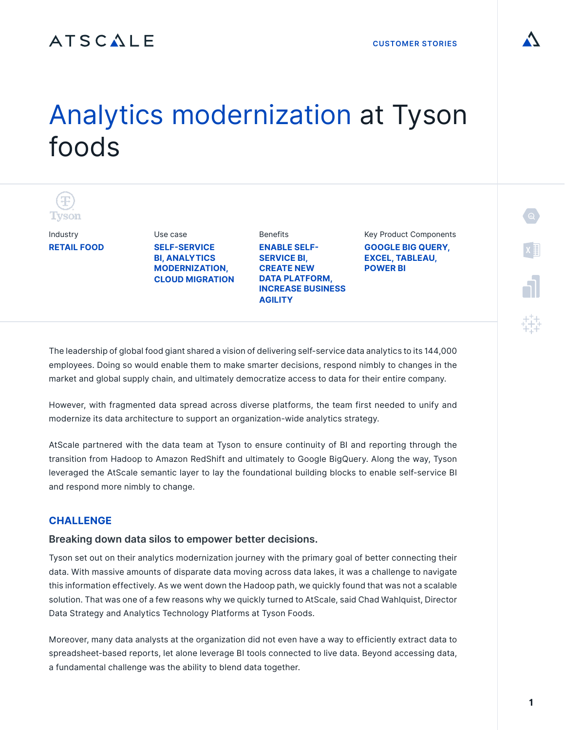## ATSCALE

# Analytics modernization at Tyson foods



Industry **RETAIL FOOD** 

**SELF-SERVICE BI, ANALYTICS MODERNIZATION, CLOUD MIGRATION**

Use case

**Benefits ENABLE SELF-SERVICE BI, CREATE NEW DATA PLATFORM, INCREASE BUSINESS AGILITY**

Key Product Components **GOOGLE BIG QUERY, EXCEL, TABLEAU, POWER BI**

The leadership of global food giant shared a vision of delivering self-service data analytics to its 144,000 employees. Doing so would enable them to make smarter decisions, respond nimbly to changes in the market and global supply chain, and ultimately democratize access to data for their entire company.

However, with fragmented data spread across diverse platforms, the team first needed to unify and modernize its data architecture to support an organization-wide analytics strategy.

AtScale partnered with the data team at Tyson to ensure continuity of BI and reporting through the transition from Hadoop to Amazon RedShift and ultimately to Google BigQuery. Along the way, Tyson leveraged the AtScale semantic layer to lay the foundational building blocks to enable self-service BI and respond more nimbly to change.

#### **CHALLENGE**

#### **Breaking down data silos to empower better decisions.**

Tyson set out on their analytics modernization journey with the primary goal of better connecting their data. With massive amounts of disparate data moving across data lakes, it was a challenge to navigate this information effectively. As we went down the Hadoop path, we quickly found that was not a scalable solution. That was one of a few reasons why we quickly turned to AtScale, said Chad Wahlquist, Director Data Strategy and Analytics Technology Platforms at Tyson Foods.

Moreover, many data analysts at the organization did not even have a way to efficiently extract data to spreadsheet-based reports, let alone leverage BI tools connected to live data. Beyond accessing data, a fundamental challenge was the ability to blend data together.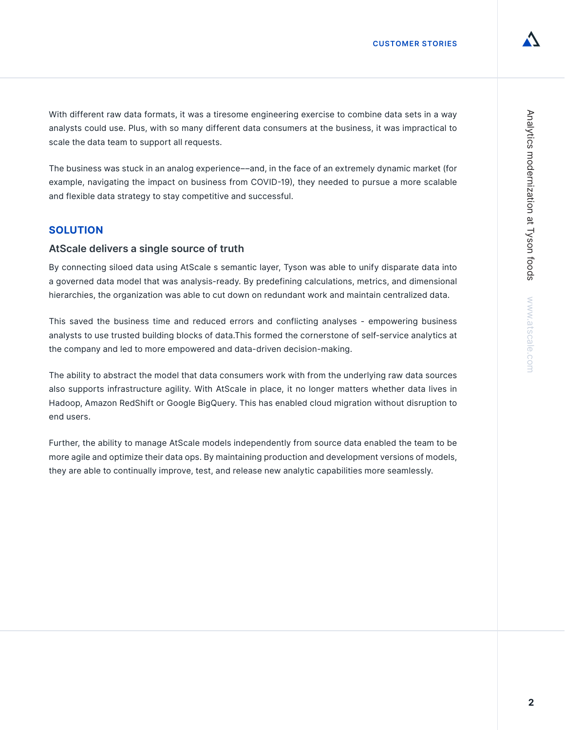With different raw data formats, it was a tiresome engineering exercise to combine data sets in a way analysts could use. Plus, with so many different data consumers at the business, it was impractical to scale the data team to support all requests.

The business was stuck in an analog experience––and, in the face of an extremely dynamic market (for example, navigating the impact on business from COVID-19), they needed to pursue a more scalable and flexible data strategy to stay competitive and successful.

### **SOLUTION**

#### **AtScale delivers a single source of truth**

By connecting siloed data using AtScale s semantic layer, Tyson was able to unify disparate data into a governed data model that was analysis-ready. By predefining calculations, metrics, and dimensional hierarchies, the organization was able to cut down on redundant work and maintain centralized data.

This saved the business time and reduced errors and conflicting analyses - empowering business analysts to use trusted building blocks of data.This formed the cornerstone of self-service analytics at the company and led to more empowered and data-driven decision-making.

The ability to abstract the model that data consumers work with from the underlying raw data sources also supports infrastructure agility. With AtScale in place, it no longer matters whether data lives in Hadoop, Amazon RedShift or Google BigQuery. This has enabled cloud migration without disruption to end users.

Further, the ability to manage AtScale models independently from source data enabled the team to be more agile and optimize their data ops. By maintaining production and development versions of models, they are able to continually improve, test, and release new analytic capabilities more seamlessly.

 $\overline{2}$ 

**2Analytics modernization at Tyson foods www.atscale.com** 

Analytics modernization at Tyson foods WWW.atscale.com